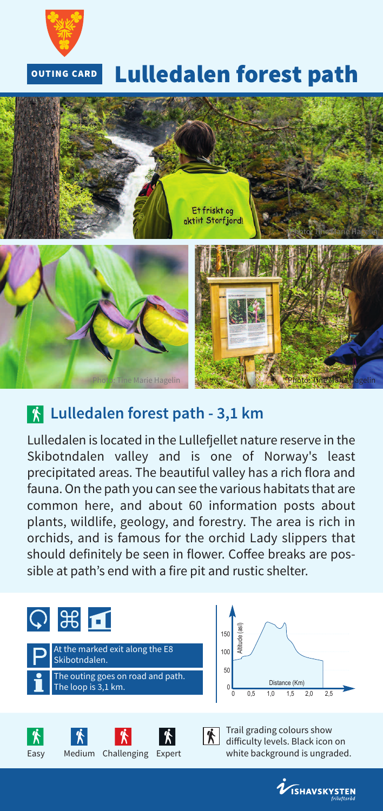

#### **Lulledalen forest path OUTING CARD**



# **Lulledalen forest path - 3,1 km**

Lulledalen is located in the Lullefjellet nature reserve in the Skibotndalen valley and is one of Norway's least precipitated areas. The beautiful valley has a rich flora and fauna.On the path you can see the various habitats that are common here, and about 60 information posts about plants, wildlife, geology, and forestry. The area is rich in orchids, and is famous for the orchid Lady slippers that should definitely be seen in flower. Coffee breaks are possible at path's end with a fire pit and rustic shelter.